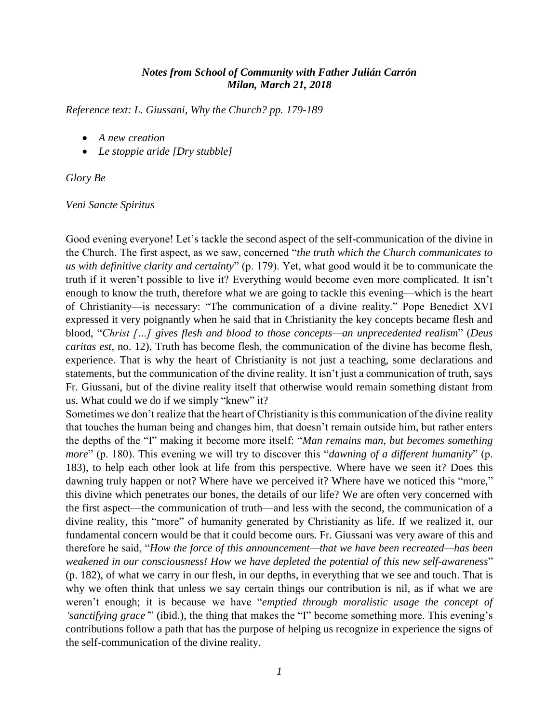## *Notes from School of Community with Father Julián Carrón Milan, March 21, 2018*

*Reference text: L. Giussani, Why the Church? pp. 179-189*

- *A new creation*
- *Le stoppie aride [Dry stubble]*

*Glory Be*

## *Veni Sancte Spiritus*

Good evening everyone! Let's tackle the second aspect of the self-communication of the divine in the Church. The first aspect, as we saw, concerned "*the truth which the Church communicates to us with definitive clarity and certainty*" (p. 179). Yet, what good would it be to communicate the truth if it weren't possible to live it? Everything would become even more complicated. It isn't enough to know the truth, therefore what we are going to tackle this evening—which is the heart of Christianity—is necessary: "The communication of a divine reality." Pope Benedict XVI expressed it very poignantly when he said that in Christianity the key concepts became flesh and blood, "*Christ […] gives flesh and blood to those concepts—an unprecedented realism*" (*Deus caritas est*, no. 12). Truth has become flesh, the communication of the divine has become flesh, experience. That is why the heart of Christianity is not just a teaching, some declarations and statements, but the communication of the divine reality. It isn't just a communication of truth, says Fr. Giussani, but of the divine reality itself that otherwise would remain something distant from us. What could we do if we simply "knew" it?

Sometimes we don't realize that the heart of Christianity is this communication of the divine reality that touches the human being and changes him, that doesn't remain outside him, but rather enters the depths of the "I" making it become more itself: "*Man remains man, but becomes something more*" (p. 180). This evening we will try to discover this "*dawning of a different humanity*" (p. 183), to help each other look at life from this perspective. Where have we seen it? Does this dawning truly happen or not? Where have we perceived it? Where have we noticed this "more," this divine which penetrates our bones, the details of our life? We are often very concerned with the first aspect—the communication of truth—and less with the second, the communication of a divine reality, this "more" of humanity generated by Christianity as life. If we realized it, our fundamental concern would be that it could become ours. Fr. Giussani was very aware of this and therefore he said, "*How the force of this announcement—that we have been recreated—has been weakened in our consciousness! How we have depleted the potential of this new self-awareness*" (p. 182), of what we carry in our flesh, in our depths, in everything that we see and touch. That is why we often think that unless we say certain things our contribution is nil, as if what we are weren't enough; it is because we have "*emptied through moralistic usage the concept of 'sanctifying grace'*" (ibid.), the thing that makes the "I" become something more. This evening's contributions follow a path that has the purpose of helping us recognize in experience the signs of the self-communication of the divine reality.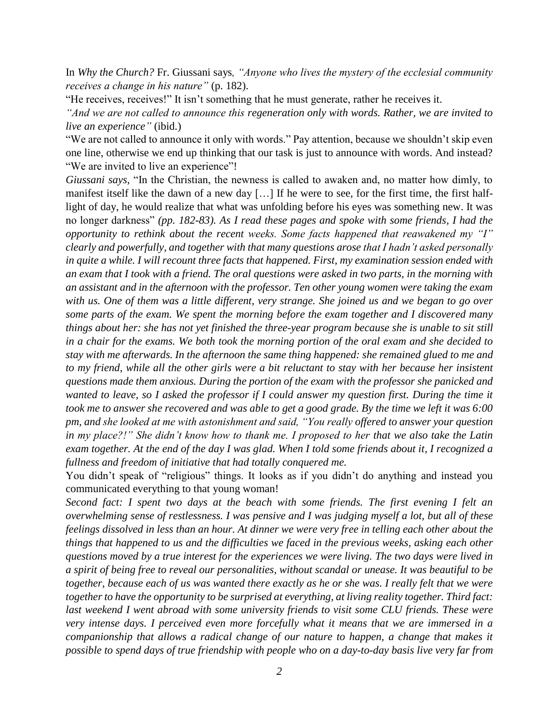In *Why the Church?* Fr. Giussani says*, "Anyone who lives the mystery of the ecclesial community receives a change in his nature"* (p. 182).

"He receives, receives!" It isn't something that he must generate, rather he receives it.

*"And we are not called to announce this regeneration only with words. Rather, we are invited to live an experience"* (ibid.)

"We are not called to announce it only with words." Pay attention, because we shouldn't skip even one line, otherwise we end up thinking that our task is just to announce with words. And instead? "We are invited to live an experience"!

*Giussani says,* "In the Christian, the newness is called to awaken and, no matter how dimly, to manifest itself like the dawn of a new day […] If he were to see, for the first time, the first halflight of day, he would realize that what was unfolding before his eyes was something new. It was no longer darkness" *(pp. 182-83). As I read these pages and spoke with some friends, I had the opportunity to rethink about the recent weeks. Some facts happened that reawakened my "I" clearly and powerfully, and together with that many questions arose that I hadn't asked personally in quite a while. I will recount three facts that happened. First, my examination session ended with an exam that I took with a friend. The oral questions were asked in two parts, in the morning with an assistant and in the afternoon with the professor. Ten other young women were taking the exam with us. One of them was a little different, very strange. She joined us and we began to go over some parts of the exam. We spent the morning before the exam together and I discovered many things about her: she has not yet finished the three-year program because she is unable to sit still in a chair for the exams. We both took the morning portion of the oral exam and she decided to stay with me afterwards. In the afternoon the same thing happened: she remained glued to me and to my friend, while all the other girls were a bit reluctant to stay with her because her insistent questions made them anxious. During the portion of the exam with the professor she panicked and wanted to leave, so I asked the professor if I could answer my question first. During the time it took me to answer she recovered and was able to get a good grade. By the time we left it was 6:00 pm, and she looked at me with astonishment and said, "You really offered to answer your question in my place?!" She didn't know how to thank me. I proposed to her that we also take the Latin exam together. At the end of the day I was glad. When I told some friends about it, I recognized a fullness and freedom of initiative that had totally conquered me.*

You didn't speak of "religious" things. It looks as if you didn't do anything and instead you communicated everything to that young woman!

*Second fact: I spent two days at the beach with some friends. The first evening I felt an overwhelming sense of restlessness. I was pensive and I was judging myself a lot, but all of these feelings dissolved in less than an hour. At dinner we were very free in telling each other about the things that happened to us and the difficulties we faced in the previous weeks, asking each other questions moved by a true interest for the experiences we were living. The two days were lived in a spirit of being free to reveal our personalities, without scandal or unease. It was beautiful to be together, because each of us was wanted there exactly as he or she was. I really felt that we were together to have the opportunity to be surprised at everything, at living reality together. Third fact: last weekend I went abroad with some university friends to visit some CLU friends. These were very intense days. I perceived even more forcefully what it means that we are immersed in a companionship that allows a radical change of our nature to happen, a change that makes it possible to spend days of true friendship with people who on a day-to-day basis live very far from*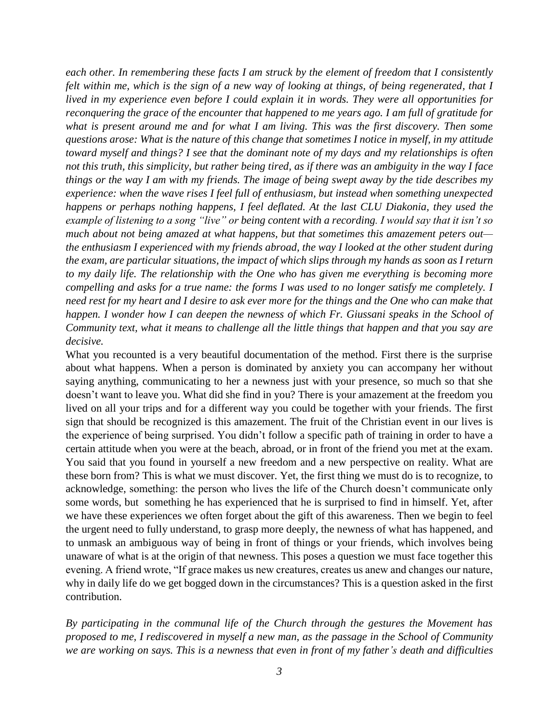*each other. In remembering these facts I am struck by the element of freedom that I consistently felt within me, which is the sign of a new way of looking at things, of being regenerated, that I lived in my experience even before I could explain it in words. They were all opportunities for reconquering the grace of the encounter that happened to me years ago. I am full of gratitude for what is present around me and for what I am living. This was the first discovery. Then some questions arose: What is the nature of this change that sometimes I notice in myself, in my attitude toward myself and things? I see that the dominant note of my days and my relationships is often not this truth, this simplicity, but rather being tired, as if there was an ambiguity in the way I face things or the way I am with my friends. The image of being swept away by the tide describes my experience: when the wave rises I feel full of enthusiasm, but instead when something unexpected happens or perhaps nothing happens, I feel deflated. At the last CLU Diakonia, they used the example of listening to a song "live" or being content with a recording. I would say that it isn't so much about not being amazed at what happens, but that sometimes this amazement peters out the enthusiasm I experienced with my friends abroad, the way I looked at the other student during the exam, are particular situations, the impact of which slips through my hands as soon as I return to my daily life. The relationship with the One who has given me everything is becoming more compelling and asks for a true name: the forms I was used to no longer satisfy me completely. I need rest for my heart and I desire to ask ever more for the things and the One who can make that happen. I wonder how I can deepen the newness of which Fr. Giussani speaks in the School of Community text, what it means to challenge all the little things that happen and that you say are decisive.*

What you recounted is a very beautiful documentation of the method. First there is the surprise about what happens. When a person is dominated by anxiety you can accompany her without saying anything, communicating to her a newness just with your presence, so much so that she doesn't want to leave you. What did she find in you? There is your amazement at the freedom you lived on all your trips and for a different way you could be together with your friends. The first sign that should be recognized is this amazement. The fruit of the Christian event in our lives is the experience of being surprised. You didn't follow a specific path of training in order to have a certain attitude when you were at the beach, abroad, or in front of the friend you met at the exam. You said that you found in yourself a new freedom and a new perspective on reality. What are these born from? This is what we must discover. Yet, the first thing we must do is to recognize, to acknowledge, something: the person who lives the life of the Church doesn't communicate only some words, but something he has experienced that he is surprised to find in himself. Yet, after we have these experiences we often forget about the gift of this awareness. Then we begin to feel the urgent need to fully understand, to grasp more deeply, the newness of what has happened, and to unmask an ambiguous way of being in front of things or your friends, which involves being unaware of what is at the origin of that newness. This poses a question we must face together this evening. A friend wrote, "If grace makes us new creatures, creates us anew and changes our nature, why in daily life do we get bogged down in the circumstances? This is a question asked in the first contribution.

*By participating in the communal life of the Church through the gestures the Movement has proposed to me, I rediscovered in myself a new man, as the passage in the School of Community we are working on says. This is a newness that even in front of my father's death and difficulties*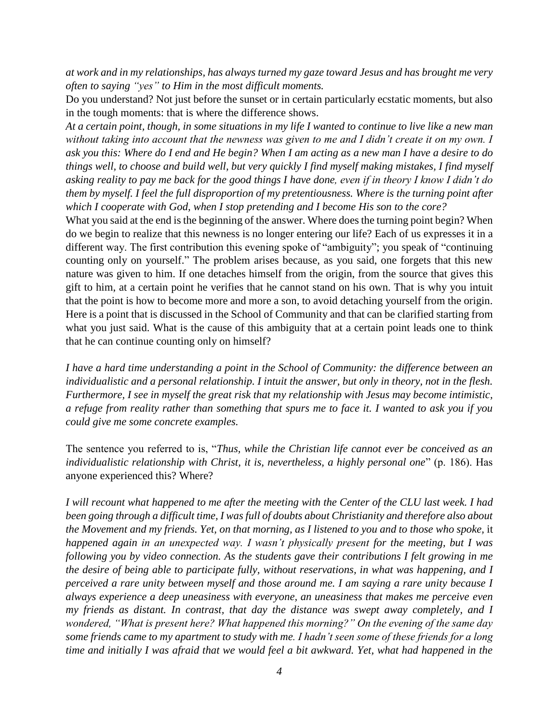*at work and in my relationships, has always turned my gaze toward Jesus and has brought me very often to saying "yes" to Him in the most difficult moments.* 

Do you understand? Not just before the sunset or in certain particularly ecstatic moments, but also in the tough moments: that is where the difference shows.

*At a certain point, though, in some situations in my life I wanted to continue to live like a new man without taking into account that the newness was given to me and I didn't create it on my own. I ask you this: Where do I end and He begin? When I am acting as a new man I have a desire to do things well, to choose and build well, but very quickly I find myself making mistakes, I find myself asking reality to pay me back for the good things I have done, even if in theory I know I didn't do them by myself. I feel the full disproportion of my pretentiousness. Where is the turning point after which I cooperate with God, when I stop pretending and I become His son to the core?*

What you said at the end is the beginning of the answer. Where does the turning point begin? When do we begin to realize that this newness is no longer entering our life? Each of us expresses it in a different way. The first contribution this evening spoke of "ambiguity"; you speak of "continuing counting only on yourself." The problem arises because, as you said, one forgets that this new nature was given to him. If one detaches himself from the origin, from the source that gives this gift to him, at a certain point he verifies that he cannot stand on his own. That is why you intuit that the point is how to become more and more a son, to avoid detaching yourself from the origin. Here is a point that is discussed in the School of Community and that can be clarified starting from what you just said. What is the cause of this ambiguity that at a certain point leads one to think that he can continue counting only on himself?

*I have a hard time understanding a point in the School of Community: the difference between an individualistic and a personal relationship. I intuit the answer, but only in theory, not in the flesh. Furthermore, I see in myself the great risk that my relationship with Jesus may become intimistic, a refuge from reality rather than something that spurs me to face it. I wanted to ask you if you could give me some concrete examples.*

The sentence you referred to is, "*Thus, while the Christian life cannot ever be conceived as an individualistic relationship with Christ, it is, nevertheless, a highly personal one*" (p. 186). Has anyone experienced this? Where?

*I will recount what happened to me after the meeting with the Center of the CLU last week. I had been going through a difficult time, I was full of doubts about Christianity and therefore also about the Movement and my friends. Yet, on that morning, as I listened to you and to those who spoke, it happened again in an unexpected way. I wasn't physically present for the meeting, but I was following you by video connection. As the students gave their contributions I felt growing in me the desire of being able to participate fully, without reservations, in what was happening, and I perceived a rare unity between myself and those around me. I am saying a rare unity because I always experience a deep uneasiness with everyone, an uneasiness that makes me perceive even my friends as distant. In contrast, that day the distance was swept away completely, and I wondered, "What is present here? What happened this morning?" On the evening of the same day some friends came to my apartment to study with me. I hadn't seen some of these friends for a long time and initially I was afraid that we would feel a bit awkward. Yet, what had happened in the*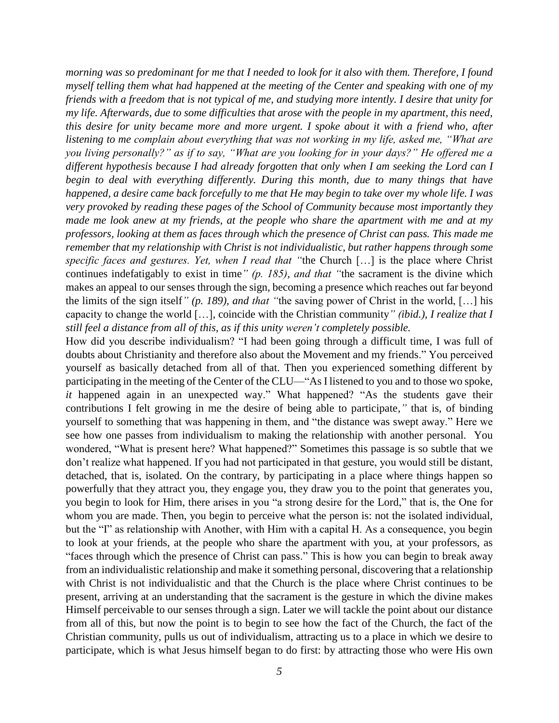*morning was so predominant for me that I needed to look for it also with them. Therefore, I found myself telling them what had happened at the meeting of the Center and speaking with one of my friends with a freedom that is not typical of me, and studying more intently. I desire that unity for my life. Afterwards, due to some difficulties that arose with the people in my apartment, this need, this desire for unity became more and more urgent. I spoke about it with a friend who, after listening to me complain about everything that was not working in my life, asked me, "What are you living personally?" as if to say, "What are you looking for in your days?" He offered me a different hypothesis because I had already forgotten that only when I am seeking the Lord can I begin to deal with everything differently. During this month, due to many things that have happened, a desire came back forcefully to me that He may begin to take over my whole life. I was very provoked by reading these pages of the School of Community because most importantly they made me look anew at my friends, at the people who share the apartment with me and at my professors, looking at them as faces through which the presence of Christ can pass. This made me remember that my relationship with Christ is not individualistic, but rather happens through some specific faces and gestures. Yet, when I read that "*the Church […] is the place where Christ continues indefatigably to exist in time*" (p. 185), and that "*the sacrament is the divine which makes an appeal to our senses through the sign, becoming a presence which reaches out far beyond the limits of the sign itself*" (p. 189), and that "*the saving power of Christ in the world, […] his capacity to change the world […], coincide with the Christian community*" (ibid.), I realize that I still feel a distance from all of this, as if this unity weren't completely possible.*

How did you describe individualism? "I had been going through a difficult time, I was full of doubts about Christianity and therefore also about the Movement and my friends." You perceived yourself as basically detached from all of that. Then you experienced something different by participating in the meeting of the Center of the CLU—"As I listened to you and to those wo spoke, *it* happened again in an unexpected way." What happened? "As the students gave their contributions I felt growing in me the desire of being able to participate,*"* that is, of binding yourself to something that was happening in them, and "the distance was swept away." Here we see how one passes from individualism to making the relationship with another personal. You wondered, "What is present here? What happened?" Sometimes this passage is so subtle that we don't realize what happened. If you had not participated in that gesture, you would still be distant, detached, that is, isolated. On the contrary, by participating in a place where things happen so powerfully that they attract you, they engage you, they draw you to the point that generates you, you begin to look for Him, there arises in you "a strong desire for the Lord," that is, the One for whom you are made. Then, you begin to perceive what the person is: not the isolated individual, but the "I" as relationship with Another, with Him with a capital H. As a consequence, you begin to look at your friends, at the people who share the apartment with you, at your professors, as "faces through which the presence of Christ can pass." This is how you can begin to break away from an individualistic relationship and make it something personal, discovering that a relationship with Christ is not individualistic and that the Church is the place where Christ continues to be present, arriving at an understanding that the sacrament is the gesture in which the divine makes Himself perceivable to our senses through a sign. Later we will tackle the point about our distance from all of this, but now the point is to begin to see how the fact of the Church, the fact of the Christian community, pulls us out of individualism, attracting us to a place in which we desire to participate, which is what Jesus himself began to do first: by attracting those who were His own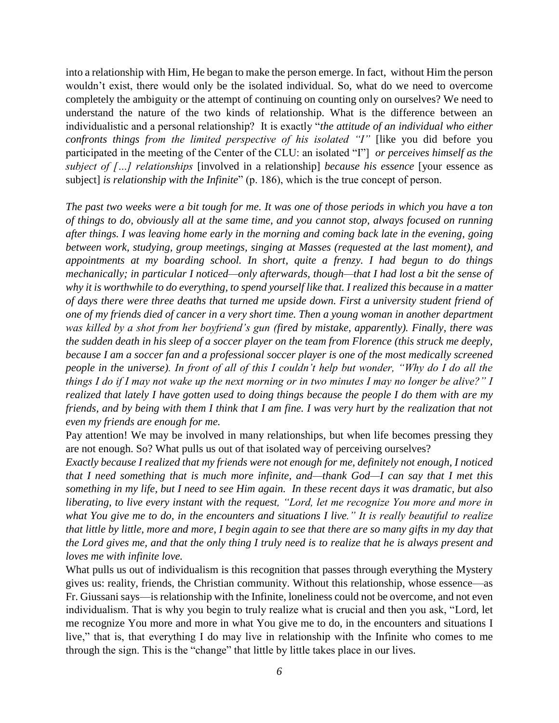into a relationship with Him, He began to make the person emerge. In fact, without Him the person wouldn't exist, there would only be the isolated individual. So, what do we need to overcome completely the ambiguity or the attempt of continuing on counting only on ourselves? We need to understand the nature of the two kinds of relationship. What is the difference between an individualistic and a personal relationship? It is exactly "*the attitude of an individual who either confronts things from the limited perspective of his isolated "I"* [like you did before you participated in the meeting of the Center of the CLU: an isolated "I"] *or perceives himself as the subject of […] relationships* [involved in a relationship] *because his essence* [your essence as subject] *is relationship with the Infinite*" (p. 186), which is the true concept of person.

*The past two weeks were a bit tough for me. It was one of those periods in which you have a ton of things to do, obviously all at the same time, and you cannot stop, always focused on running after things. I was leaving home early in the morning and coming back late in the evening, going between work, studying, group meetings, singing at Masses (requested at the last moment), and appointments at my boarding school. In short, quite a frenzy. I had begun to do things mechanically; in particular I noticed—only afterwards, though—that I had lost a bit the sense of why it is worthwhile to do everything, to spend yourself like that. I realized this because in a matter of days there were three deaths that turned me upside down. First a university student friend of one of my friends died of cancer in a very short time. Then a young woman in another department was killed by a shot from her boyfriend's gun (fired by mistake, apparently). Finally, there was the sudden death in his sleep of a soccer player on the team from Florence (this struck me deeply, because I am a soccer fan and a professional soccer player is one of the most medically screened people in the universe). In front of all of this I couldn't help but wonder, "Why do I do all the things I do if I may not wake up the next morning or in two minutes I may no longer be alive?" I realized that lately I have gotten used to doing things because the people I do them with are my friends, and by being with them I think that I am fine. I was very hurt by the realization that not even my friends are enough for me.*

Pay attention! We may be involved in many relationships, but when life becomes pressing they are not enough. So? What pulls us out of that isolated way of perceiving ourselves?

*Exactly because I realized that my friends were not enough for me, definitely not enough, I noticed that I need something that is much more infinite, and—thank God—I can say that I met this something in my life, but I need to see Him again. In these recent days it was dramatic, but also liberating, to live every instant with the request, "Lord, let me recognize You more and more in what You give me to do, in the encounters and situations I live." It is really beautiful to realize that little by little, more and more, I begin again to see that there are so many gifts in my day that the Lord gives me, and that the only thing I truly need is to realize that he is always present and loves me with infinite love.*

What pulls us out of individualism is this recognition that passes through everything the Mystery gives us: reality, friends, the Christian community. Without this relationship, whose essence—as Fr. Giussani says—is relationship with the Infinite, loneliness could not be overcome, and not even individualism. That is why you begin to truly realize what is crucial and then you ask, "Lord, let me recognize You more and more in what You give me to do, in the encounters and situations I live," that is, that everything I do may live in relationship with the Infinite who comes to me through the sign. This is the "change" that little by little takes place in our lives.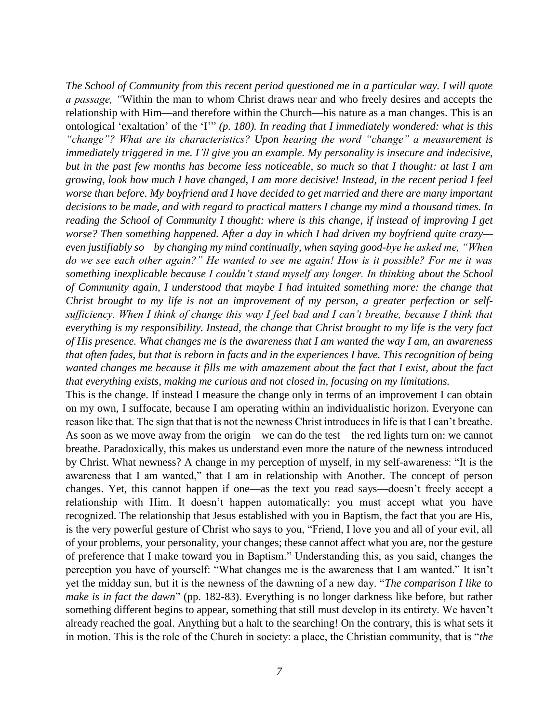*The School of Community from this recent period questioned me in a particular way. I will quote a passage, "*Within the man to whom Christ draws near and who freely desires and accepts the relationship with Him—and therefore within the Church—his nature as a man changes. This is an ontological 'exaltation' of the 'I'" *(p. 180). In reading that I immediately wondered: what is this "change"? What are its characteristics? Upon hearing the word "change" a measurement is immediately triggered in me. I'll give you an example. My personality is insecure and indecisive, but in the past few months has become less noticeable, so much so that I thought: at last I am growing, look how much I have changed, I am more decisive! Instead, in the recent period I feel worse than before. My boyfriend and I have decided to get married and there are many important decisions to be made, and with regard to practical matters I change my mind a thousand times. In reading the School of Community I thought: where is this change, if instead of improving I get worse? Then something happened. After a day in which I had driven my boyfriend quite crazy even justifiably so—by changing my mind continually, when saying good-bye he asked me, "When do we see each other again?" He wanted to see me again! How is it possible? For me it was something inexplicable because I couldn't stand myself any longer. In thinking about the School of Community again, I understood that maybe I had intuited something more: the change that Christ brought to my life is not an improvement of my person, a greater perfection or selfsufficiency. When I think of change this way I feel bad and I can't breathe, because I think that everything is my responsibility. Instead, the change that Christ brought to my life is the very fact of His presence. What changes me is the awareness that I am wanted the way I am, an awareness that often fades, but that is reborn in facts and in the experiences I have. This recognition of being wanted changes me because it fills me with amazement about the fact that I exist, about the fact that everything exists, making me curious and not closed in, focusing on my limitations.*

This is the change. If instead I measure the change only in terms of an improvement I can obtain on my own, I suffocate, because I am operating within an individualistic horizon. Everyone can reason like that. The sign that that is not the newness Christ introduces in life is that I can't breathe. As soon as we move away from the origin—we can do the test—the red lights turn on: we cannot breathe. Paradoxically, this makes us understand even more the nature of the newness introduced by Christ. What newness? A change in my perception of myself, in my self-awareness: "It is the awareness that I am wanted," that I am in relationship with Another. The concept of person changes. Yet, this cannot happen if one—as the text you read says—doesn't freely accept a relationship with Him. It doesn't happen automatically: you must accept what you have recognized. The relationship that Jesus established with you in Baptism, the fact that you are His, is the very powerful gesture of Christ who says to you, "Friend, I love you and all of your evil, all of your problems, your personality, your changes; these cannot affect what you are, nor the gesture of preference that I make toward you in Baptism." Understanding this, as you said, changes the perception you have of yourself: "What changes me is the awareness that I am wanted." It isn't yet the midday sun, but it is the newness of the dawning of a new day. "*The comparison I like to make is in fact the dawn*" (pp. 182-83). Everything is no longer darkness like before, but rather something different begins to appear, something that still must develop in its entirety. We haven't already reached the goal. Anything but a halt to the searching! On the contrary, this is what sets it in motion. This is the role of the Church in society: a place, the Christian community, that is "*the*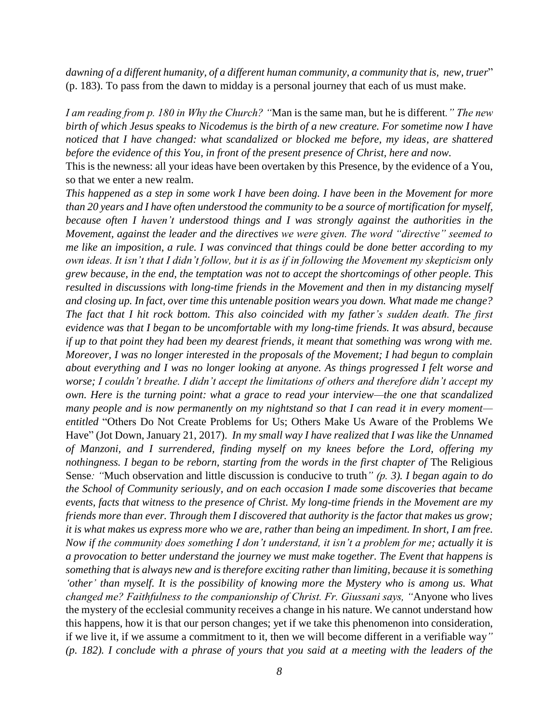*dawning of a different humanity, of a different human community, a community that is, new, truer*" (p. 183). To pass from the dawn to midday is a personal journey that each of us must make.

*I am reading from p. 180 in Why the Church? "*Man is the same man, but he is different*." The new birth of which Jesus speaks to Nicodemus is the birth of a new creature. For sometime now I have noticed that I have changed: what scandalized or blocked me before, my ideas, are shattered before the evidence of this You, in front of the present presence of Christ, here and now.*

This is the newness: all your ideas have been overtaken by this Presence, by the evidence of a You, so that we enter a new realm.

*This happened as a step in some work I have been doing. I have been in the Movement for more than 20 years and I have often understood the community to be a source of mortification for myself, because often I haven't understood things and I was strongly against the authorities in the Movement, against the leader and the directives we were given. The word "directive" seemed to me like an imposition, a rule. I was convinced that things could be done better according to my own ideas. It isn't that I didn't follow, but it is as if in following the Movement my skepticism only grew because, in the end, the temptation was not to accept the shortcomings of other people. This resulted in discussions with long-time friends in the Movement and then in my distancing myself and closing up. In fact, over time this untenable position wears you down. What made me change? The fact that I hit rock bottom. This also coincided with my father's sudden death. The first evidence was that I began to be uncomfortable with my long-time friends. It was absurd, because if up to that point they had been my dearest friends, it meant that something was wrong with me. Moreover, I was no longer interested in the proposals of the Movement; I had begun to complain about everything and I was no longer looking at anyone. As things progressed I felt worse and worse; I couldn't breathe. I didn't accept the limitations of others and therefore didn't accept my own. Here is the turning point: what a grace to read your interview—the one that scandalized many people and is now permanently on my nightstand so that I can read it in every moment entitled* "Others Do Not Create Problems for Us; Others Make Us Aware of the Problems We Have" (Jot Down, January 21, 2017). *In my small way I have realized that I was like the Unnamed of Manzoni, and I surrendered, finding myself on my knees before the Lord, offering my nothingness. I began to be reborn, starting from the words in the first chapter of The Religious* Sense*: "*Much observation and little discussion is conducive to truth*" (p. 3). I began again to do the School of Community seriously, and on each occasion I made some discoveries that became events, facts that witness to the presence of Christ. My long-time friends in the Movement are my friends more than ever. Through them I discovered that authority is the factor that makes us grow; it is what makes us express more who we are, rather than being an impediment. In short, I am free. Now if the community does something I don't understand, it isn't a problem for me; actually it is a provocation to better understand the journey we must make together. The Event that happens is something that is always new and is therefore exciting rather than limiting, because it is something 'other' than myself. It is the possibility of knowing more the Mystery who is among us. What changed me? Faithfulness to the companionship of Christ. Fr. Giussani says, "*Anyone who lives the mystery of the ecclesial community receives a change in his nature. We cannot understand how this happens, how it is that our person changes; yet if we take this phenomenon into consideration, if we live it, if we assume a commitment to it, then we will become different in a verifiable way*" (p. 182). I conclude with a phrase of yours that you said at a meeting with the leaders of the*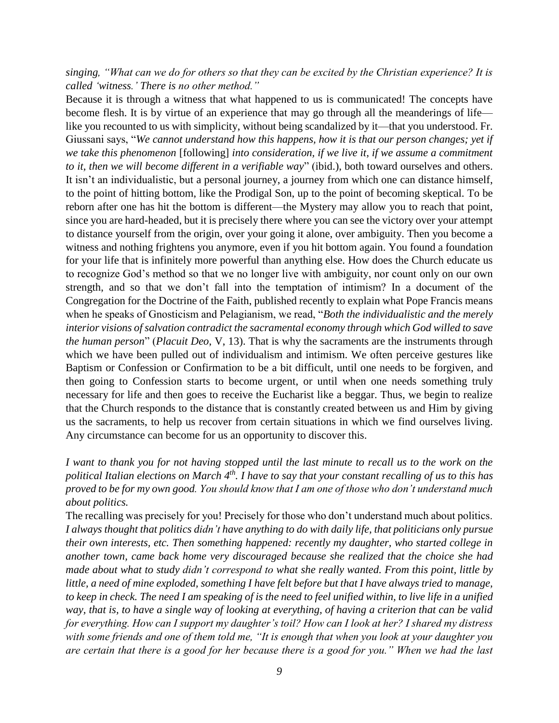*singing, "What can we do for others so that they can be excited by the Christian experience? It is called 'witness.' There is no other method."*

Because it is through a witness that what happened to us is communicated! The concepts have become flesh. It is by virtue of an experience that may go through all the meanderings of life like you recounted to us with simplicity, without being scandalized by it—that you understood. Fr. Giussani says, "*We cannot understand how this happens, how it is that our person changes; yet if we take this phenomenon* [following] *into consideration, if we live it, if we assume a commitment to it, then we will become different in a verifiable way*" (ibid.), both toward ourselves and others. It isn't an individualistic, but a personal journey, a journey from which one can distance himself, to the point of hitting bottom, like the Prodigal Son, up to the point of becoming skeptical. To be reborn after one has hit the bottom is different—the Mystery may allow you to reach that point, since you are hard-headed, but it is precisely there where you can see the victory over your attempt to distance yourself from the origin, over your going it alone, over ambiguity. Then you become a witness and nothing frightens you anymore, even if you hit bottom again. You found a foundation for your life that is infinitely more powerful than anything else. How does the Church educate us to recognize God's method so that we no longer live with ambiguity, nor count only on our own strength, and so that we don't fall into the temptation of intimism? In a document of the Congregation for the Doctrine of the Faith, published recently to explain what Pope Francis means when he speaks of Gnosticism and Pelagianism, we read, "*Both the individualistic and the merely interior visions of salvation contradict the sacramental economy through which God willed to save the human person*" (*Placuit Deo*, V, 13). That is why the sacraments are the instruments through which we have been pulled out of individualism and intimism. We often perceive gestures like Baptism or Confession or Confirmation to be a bit difficult, until one needs to be forgiven, and then going to Confession starts to become urgent, or until when one needs something truly necessary for life and then goes to receive the Eucharist like a beggar. Thus, we begin to realize that the Church responds to the distance that is constantly created between us and Him by giving us the sacraments, to help us recover from certain situations in which we find ourselves living. Any circumstance can become for us an opportunity to discover this.

*I* want to thank you for not having stopped until the last minute to recall us to the work on the *political Italian elections on March 4th. I have to say that your constant recalling of us to this has proved to be for my own good. You should know that I am one of those who don't understand much about politics.*

The recalling was precisely for you! Precisely for those who don't understand much about politics. *I always thought that politics didn't have anything to do with daily life, that politicians only pursue their own interests, etc. Then something happened: recently my daughter, who started college in another town, came back home very discouraged because she realized that the choice she had made about what to study didn't correspond to what she really wanted. From this point, little by little, a need of mine exploded, something I have felt before but that I have always tried to manage, to keep in check. The need I am speaking of is the need to feel unified within, to live life in a unified way, that is, to have a single way of looking at everything, of having a criterion that can be valid for everything. How can I support my daughter's toil? How can I look at her? I shared my distress with some friends and one of them told me, "It is enough that when you look at your daughter you are certain that there is a good for her because there is a good for you." When we had the last*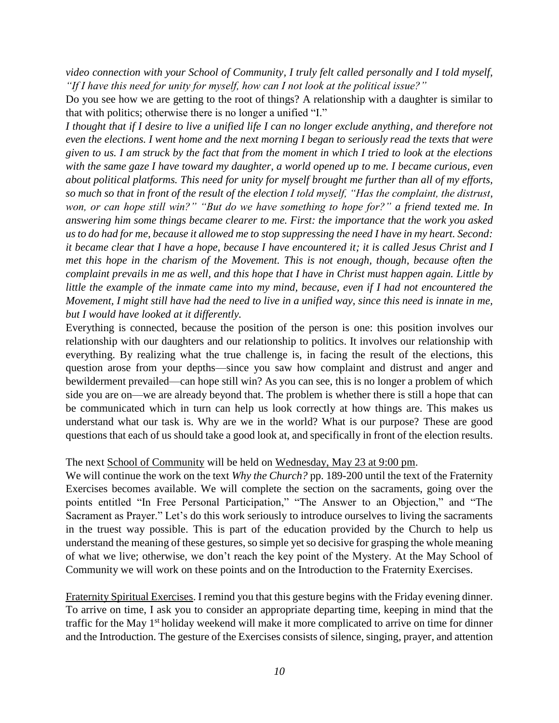*video connection with your School of Community, I truly felt called personally and I told myself, "If I have this need for unity for myself, how can I not look at the political issue?"*

Do you see how we are getting to the root of things? A relationship with a daughter is similar to that with politics; otherwise there is no longer a unified "I."

*I thought that if I desire to live a unified life I can no longer exclude anything, and therefore not even the elections. I went home and the next morning I began to seriously read the texts that were given to us. I am struck by the fact that from the moment in which I tried to look at the elections with the same gaze I have toward my daughter, a world opened up to me. I became curious, even about political platforms. This need for unity for myself brought me further than all of my efforts, so much so that in front of the result of the election I told myself, "Has the complaint, the distrust, won, or can hope still win?" "But do we have something to hope for?" a friend texted me. In answering him some things became clearer to me. First: the importance that the work you asked us to do had for me, because it allowed me to stop suppressing the need I have in my heart. Second: it became clear that I have a hope, because I have encountered it; it is called Jesus Christ and I met this hope in the charism of the Movement. This is not enough, though, because often the complaint prevails in me as well, and this hope that I have in Christ must happen again. Little by little the example of the inmate came into my mind, because, even if I had not encountered the Movement, I might still have had the need to live in a unified way, since this need is innate in me, but I would have looked at it differently.*

Everything is connected, because the position of the person is one: this position involves our relationship with our daughters and our relationship to politics. It involves our relationship with everything. By realizing what the true challenge is, in facing the result of the elections, this question arose from your depths—since you saw how complaint and distrust and anger and bewilderment prevailed—can hope still win? As you can see, this is no longer a problem of which side you are on—we are already beyond that. The problem is whether there is still a hope that can be communicated which in turn can help us look correctly at how things are. This makes us understand what our task is. Why are we in the world? What is our purpose? These are good questions that each of us should take a good look at, and specifically in front of the election results.

## The next School of Community will be held on Wednesday, May 23 at 9:00 pm.

We will continue the work on the text *Why the Church?* pp. 189-200 until the text of the Fraternity Exercises becomes available. We will complete the section on the sacraments, going over the points entitled "In Free Personal Participation," "The Answer to an Objection," and "The Sacrament as Prayer." Let's do this work seriously to introduce ourselves to living the sacraments in the truest way possible. This is part of the education provided by the Church to help us understand the meaning of these gestures, so simple yetso decisive for grasping the whole meaning of what we live; otherwise, we don't reach the key point of the Mystery. At the May School of Community we will work on these points and on the Introduction to the Fraternity Exercises.

Fraternity Spiritual Exercises. I remind you that this gesture begins with the Friday evening dinner. To arrive on time, I ask you to consider an appropriate departing time, keeping in mind that the traffic for the May 1<sup>st</sup> holiday weekend will make it more complicated to arrive on time for dinner and the Introduction. The gesture of the Exercises consists of silence, singing, prayer, and attention